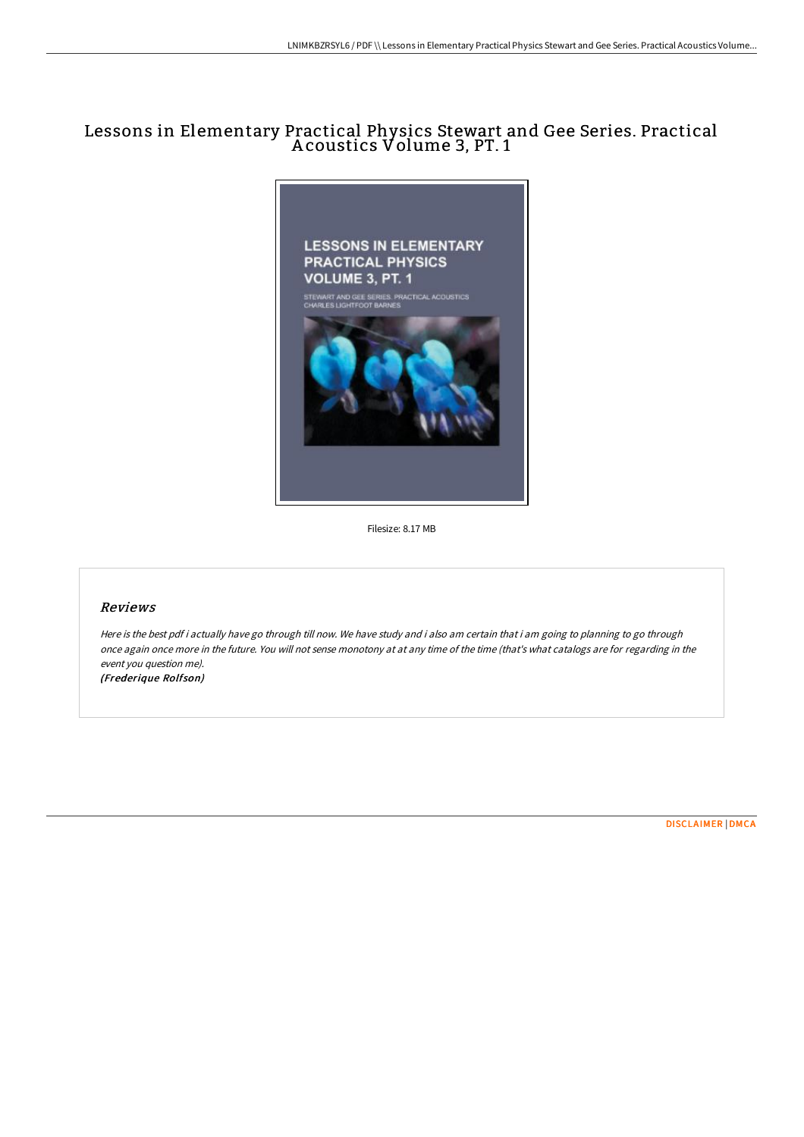# Lessons in Elementary Practical Physics Stewart and Gee Series. Practical A coustics Volume 3, PT. 1



Filesize: 8.17 MB

### Reviews

Here is the best pdf i actually have go through till now. We have study and i also am certain that i am going to planning to go through once again once more in the future. You will not sense monotony at at any time of the time (that's what catalogs are for regarding in the event you question me). (Frederique Rolfson)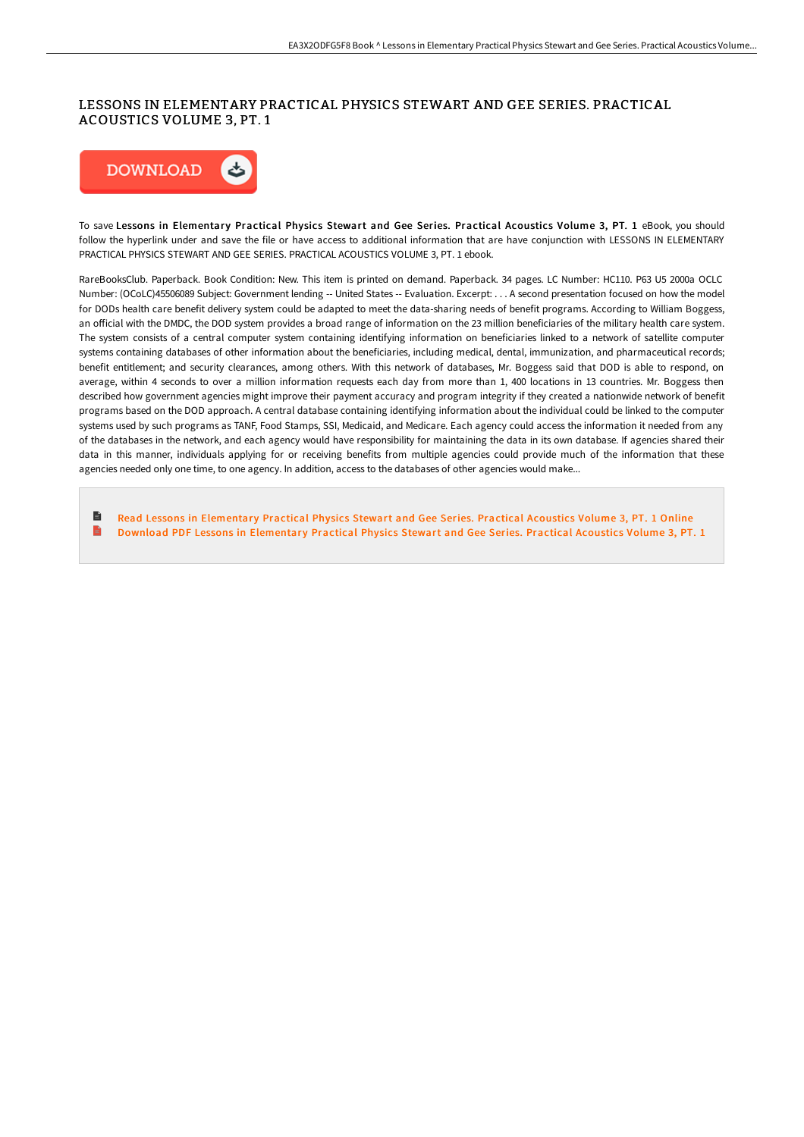### LESSONS IN ELEMENTARY PRACTICAL PHYSICS STEWART AND GEE SERIES. PRACTICAL ACOUSTICS VOLUME 3, PT. 1



To save Lessons in Elementary Practical Physics Stewart and Gee Series. Practical Acoustics Volume 3, PT. 1 eBook, you should follow the hyperlink under and save the file or have access to additional information that are have conjunction with LESSONS IN ELEMENTARY PRACTICAL PHYSICS STEWART AND GEE SERIES. PRACTICAL ACOUSTICS VOLUME 3, PT. 1 ebook.

RareBooksClub. Paperback. Book Condition: New. This item is printed on demand. Paperback. 34 pages. LC Number: HC110. P63 U5 2000a OCLC Number: (OCoLC)45506089 Subject: Government lending -- United States -- Evaluation. Excerpt: . . . A second presentation focused on how the model for DODs health care benefit delivery system could be adapted to meet the data-sharing needs of benefit programs. According to William Boggess, an official with the DMDC, the DOD system provides a broad range of information on the 23 million beneficiaries of the military health care system. The system consists of a central computer system containing identifying information on beneficiaries linked to a network of satellite computer systems containing databases of other information about the beneficiaries, including medical, dental, immunization, and pharmaceutical records; benefit entitlement; and security clearances, among others. With this network of databases, Mr. Boggess said that DOD is able to respond, on average, within 4 seconds to over a million information requests each day from more than 1, 400 locations in 13 countries. Mr. Boggess then described how government agencies might improve their payment accuracy and program integrity if they created a nationwide network of benefit programs based on the DOD approach. A central database containing identifying information about the individual could be linked to the computer systems used by such programs as TANF, Food Stamps, SSI, Medicaid, and Medicare. Each agency could access the information it needed from any of the databases in the network, and each agency would have responsibility for maintaining the data in its own database. If agencies shared their data in this manner, individuals applying for or receiving benefits from multiple agencies could provide much of the information that these agencies needed only one time, to one agency. In addition, access to the databases of other agencies would make...

B Read Lessons in [Elementar](http://www.bookdirs.com/lessons-in-elementary-practical-physics-stewart-.html)y Practical Physics Stewart and Gee Series. Practical Acoustics Volume 3, PT. 1 Online E Download PDF Lessons in [Elementar](http://www.bookdirs.com/lessons-in-elementary-practical-physics-stewart-.html)y Practical Physics Stewart and Gee Series. Practical Acoustics Volume 3, PT. 1